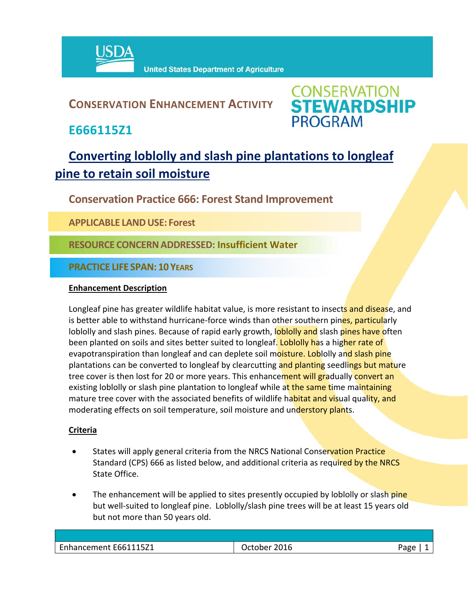

### **CONSERVATION ENHANCEMENT ACTIVITY**



**E666115Z1**

## **Converting loblolly and slash pine plantations to longleaf pine to retain soil moisture**

**Conservation Practice 666: Forest Stand Improvement**

**APPLICABLE LANDUSE: Forest** 

**RESOURCE CONCERNADDRESSED: Insufficient Water**

**PRACTICE LIFE SPAN: 10 YEARS**

#### **Enhancement Description**

Longleaf pine has greater wildlife habitat value, is more resistant to insects and disease, and is better able to withstand hurricane-force winds than other southern pines, particularly loblolly and slash pines. Because of rapid early growth, loblolly and slash pines have often been planted on soils and sites better suited to longleaf. Loblolly has a higher rate of evapotranspiration than longleaf and can deplete soil moisture. Loblolly and slash pine plantations can be converted to longleaf by clearcutting and planting seedlings but mature tree cover is then lost for 20 or more years. This enhancement will gradually convert an existing loblolly or slash pine plantation to longleaf while at the same time maintaining mature tree cover with the associated benefits of wildlife habitat and visual quality, and moderating effects on soil temperature, soil moisture and understory plants.

#### **Criteria**

- States will apply general criteria from the NRCS National Conservation Practice Standard (CPS) 666 as listed below, and additional criteria as required by the NRCS State Office.
- The enhancement will be applied to sites presently occupied by loblolly or slash pine but well-suited to longleaf pine. Loblolly/slash pine trees will be at least 15 years old but not more than 50 years old.

| Enhancement E661115Z1 | October 2016 | Page |
|-----------------------|--------------|------|
|                       |              |      |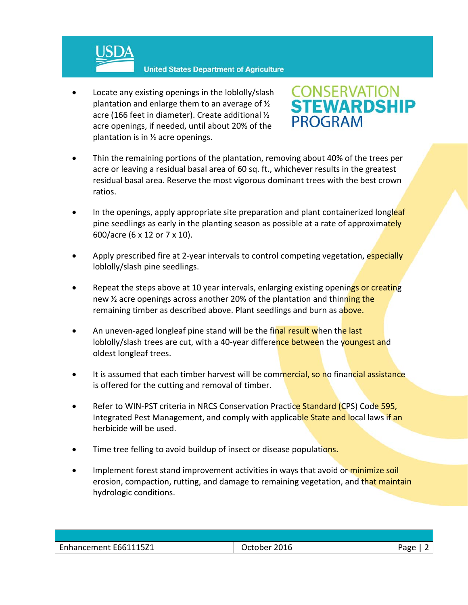

 Locate any existing openings in the loblolly/slash plantation and enlarge them to an average of ½ acre (166 feet in diameter). Create additional ½ acre openings, if needed, until about 20% of the plantation is in ½ acre openings.

# **CONSERVATION<br>STEWARDSHIP PROGRAM**

- Thin the remaining portions of the plantation, removing about 40% of the trees per acre or leaving a residual basal area of 60 sq. ft., whichever results in the greatest residual basal area. Reserve the most vigorous dominant trees with the best crown ratios.
- In the openings, apply appropriate site preparation and plant containerized longleaf pine seedlings as early in the planting season as possible at a rate of approximately 600/acre (6 x 12 or 7 x 10).
- Apply prescribed fire at 2-year intervals to control competing vegetation, especially loblolly/slash pine seedlings.
- Repeat the steps above at 10 year intervals, enlarging existing openings or creating new <sup>1/2</sup> acre openings across another 20% of the plantation and thinning the remaining timber as described above. Plant seedlings and burn as above.
- An uneven-aged longleaf pine stand will be the final result when the last loblolly/slash trees are cut, with a 40-year difference between the youngest and oldest longleaf trees.
- It is assumed that each timber harvest will be commercial, so no financial assistance is offered for the cutting and removal of timber.
- Refer to WIN-PST criteria in NRCS Conservation Practice Standard (CPS) Code 595, Integrated Pest Management, and comply with applicable State and local laws if an herbicide will be used.
- Time tree felling to avoid buildup of insect or disease populations.
- Implement forest stand improvement activities in ways that avoid or minimize soil erosion, compaction, rutting, and damage to remaining vegetation, and that maintain hydrologic conditions.

| Enhancement E661115Z1 | 2016<br>October | Page |
|-----------------------|-----------------|------|